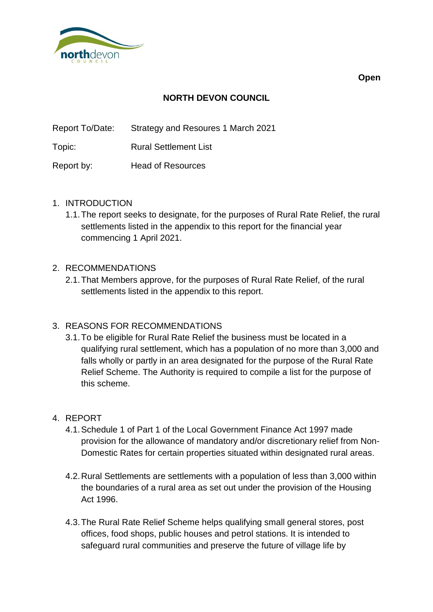

**Open**

# **NORTH DEVON COUNCIL**

Report To/Date: Strategy and Resoures 1 March 2021

Topic: Rural Settlement List

Report by: Head of Resources

#### 1. INTRODUCTION

1.1.The report seeks to designate, for the purposes of Rural Rate Relief, the rural settlements listed in the appendix to this report for the financial year commencing 1 April 2021.

### 2. RECOMMENDATIONS

2.1.That Members approve, for the purposes of Rural Rate Relief, of the rural settlements listed in the appendix to this report.

## 3. REASONS FOR RECOMMENDATIONS

3.1.To be eligible for Rural Rate Relief the business must be located in a qualifying rural settlement, which has a population of no more than 3,000 and falls wholly or partly in an area designated for the purpose of the Rural Rate Relief Scheme. The Authority is required to compile a list for the purpose of this scheme.

#### 4. REPORT

- 4.1.Schedule 1 of Part 1 of the Local Government Finance Act 1997 made provision for the allowance of mandatory and/or discretionary relief from Non-Domestic Rates for certain properties situated within designated rural areas.
- 4.2.Rural Settlements are settlements with a population of less than 3,000 within the boundaries of a rural area as set out under the provision of the Housing Act 1996.
- 4.3.The Rural Rate Relief Scheme helps qualifying small general stores, post offices, food shops, public houses and petrol stations. It is intended to safeguard rural communities and preserve the future of village life by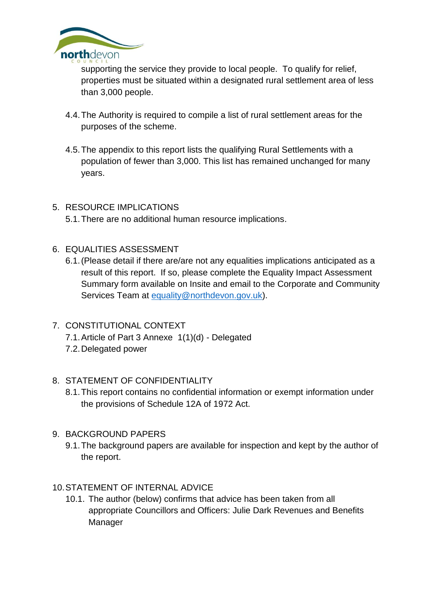

supporting the service they provide to local people. To qualify for relief, properties must be situated within a designated rural settlement area of less than 3,000 people.

- 4.4.The Authority is required to compile a list of rural settlement areas for the purposes of the scheme.
- 4.5.The appendix to this report lists the qualifying Rural Settlements with a population of fewer than 3,000. This list has remained unchanged for many years.

# 5. RESOURCE IMPLICATIONS

5.1.There are no additional human resource implications.

- 6. EQUALITIES ASSESSMENT
	- 6.1.(Please detail if there are/are not any equalities implications anticipated as a result of this report. If so, please complete the Equality Impact Assessment Summary form available on Insite and email to the Corporate and Community Services Team at [equality@northdevon.gov.uk\)](mailto:equality@northdevon.gov.uk).
- 7. CONSTITUTIONAL CONTEXT
	- 7.1.Article of Part 3 Annexe 1(1)(d) Delegated
	- 7.2.Delegated power

## 8. STATEMENT OF CONFIDENTIALITY

- 8.1.This report contains no confidential information or exempt information under the provisions of Schedule 12A of 1972 Act.
- 9. BACKGROUND PAPERS
	- 9.1.The background papers are available for inspection and kept by the author of the report.

## 10.STATEMENT OF INTERNAL ADVICE

10.1. The author (below) confirms that advice has been taken from all appropriate Councillors and Officers: Julie Dark Revenues and Benefits Manager